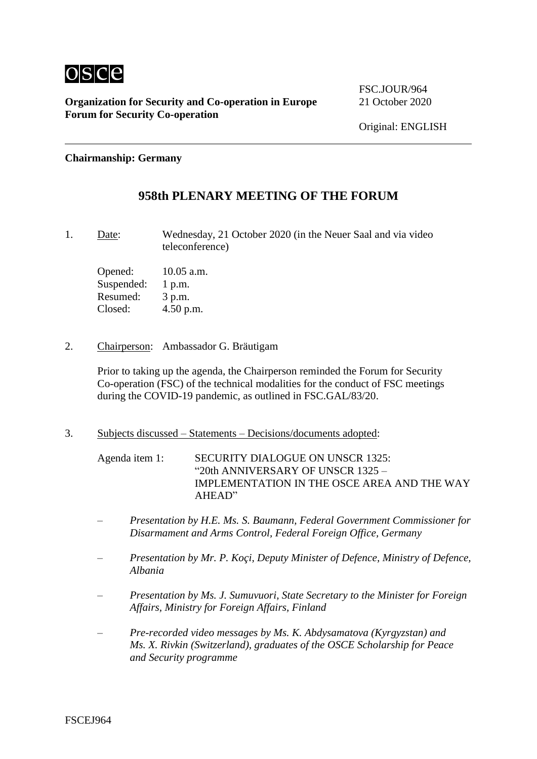

FSC.JOUR/964

#### **Chairmanship: Germany**

## **958th PLENARY MEETING OF THE FORUM**

1. Date: Wednesday, 21 October 2020 (in the Neuer Saal and via video teleconference)

Opened: 10.05 a.m. Suspended: 1 p.m. Resumed: 3 p.m. Closed: 4.50 p.m.

2. Chairperson: Ambassador G. Bräutigam

Prior to taking up the agenda, the Chairperson reminded the Forum for Security Co-operation (FSC) of the technical modalities for the conduct of FSC meetings during the COVID-19 pandemic, as outlined in FSC.GAL/83/20.

3. Subjects discussed – Statements – Decisions/documents adopted:

Agenda item 1: SECURITY DIALOGUE ON UNSCR 1325: "20th ANNIVERSARY OF UNSCR 1325 – IMPLEMENTATION IN THE OSCE AREA AND THE WAY AHEAD"

- *– Presentation by H.E. Ms. S. Baumann, Federal Government Commissioner for Disarmament and Arms Control, Federal Foreign Office, Germany*
- *– Presentation by Mr. P. Koçi, Deputy Minister of Defence, Ministry of Defence, Albania*
- *– Presentation by Ms. J. Sumuvuori, State Secretary to the Minister for Foreign Affairs, Ministry for Foreign Affairs, Finland*
- *– Pre-recorded video messages by Ms. K. Abdysamatova (Kyrgyzstan) and Ms. X. Rivkin (Switzerland), graduates of the OSCE Scholarship for Peace and Security programme*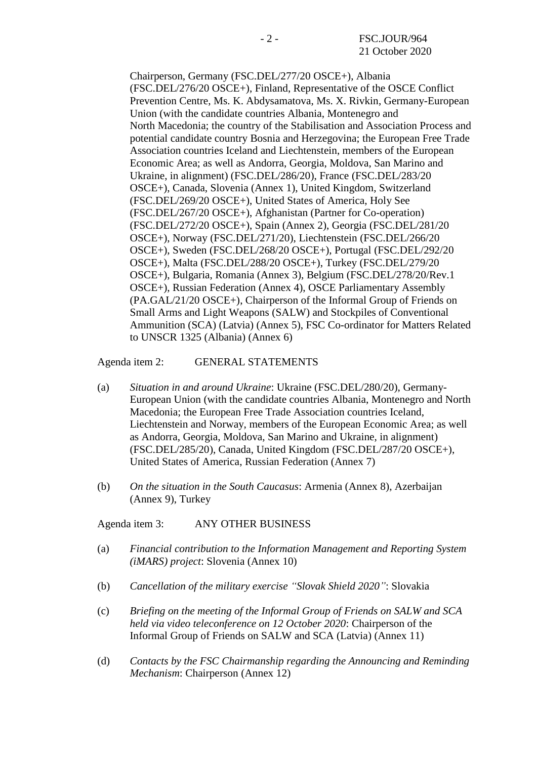Chairperson, Germany (FSC.DEL/277/20 OSCE+), Albania (FSC.DEL/276/20 OSCE+), Finland, Representative of the OSCE Conflict Prevention Centre, Ms. K. Abdysamatova, Ms. X. Rivkin, Germany-European Union (with the candidate countries Albania, Montenegro and North Macedonia; the country of the Stabilisation and Association Process and potential candidate country Bosnia and Herzegovina; the European Free Trade Association countries Iceland and Liechtenstein, members of the European Economic Area; as well as Andorra, Georgia, Moldova, San Marino and Ukraine, in alignment) (FSC.DEL/286/20), France (FSC.DEL/283/20 OSCE+), Canada, Slovenia (Annex 1), United Kingdom, Switzerland (FSC.DEL/269/20 OSCE+), United States of America, Holy See (FSC.DEL/267/20 OSCE+), Afghanistan (Partner for Co-operation) (FSC.DEL/272/20 OSCE+), Spain (Annex 2), Georgia (FSC.DEL/281/20 OSCE+), Norway (FSC.DEL/271/20), Liechtenstein (FSC.DEL/266/20 OSCE+), Sweden (FSC.DEL/268/20 OSCE+), Portugal (FSC.DEL/292/20 OSCE+), Malta (FSC.DEL/288/20 OSCE+), Turkey (FSC.DEL/279/20 OSCE+), Bulgaria, Romania (Annex 3), Belgium (FSC.DEL/278/20/Rev.1 OSCE+), Russian Federation (Annex 4), OSCE Parliamentary Assembly (PA.GAL/21/20 OSCE+), Chairperson of the Informal Group of Friends on Small Arms and Light Weapons (SALW) and Stockpiles of Conventional Ammunition (SCA) (Latvia) (Annex 5), FSC Co-ordinator for Matters Related to UNSCR 1325 (Albania) (Annex 6)

Agenda item 2: GENERAL STATEMENTS

- (a) *Situation in and around Ukraine*: Ukraine (FSC.DEL/280/20), Germany-European Union (with the candidate countries Albania, Montenegro and North Macedonia; the European Free Trade Association countries Iceland, Liechtenstein and Norway, members of the European Economic Area; as well as Andorra, Georgia, Moldova, San Marino and Ukraine, in alignment) (FSC.DEL/285/20), Canada, United Kingdom (FSC.DEL/287/20 OSCE+), United States of America, Russian Federation (Annex 7)
- (b) *On the situation in the South Caucasus*: Armenia (Annex 8), Azerbaijan (Annex 9), Turkey

Agenda item 3: ANY OTHER BUSINESS

- (a) *Financial contribution to the Information Management and Reporting System (iMARS) project*: Slovenia (Annex 10)
- (b) *Cancellation of the military exercise "Slovak Shield 2020"*: Slovakia
- (c) *Briefing on the meeting of the Informal Group of Friends on SALW and SCA held via video teleconference on 12 October 2020*: Chairperson of the Informal Group of Friends on SALW and SCA (Latvia) (Annex 11)
- (d) *Contacts by the FSC Chairmanship regarding the Announcing and Reminding Mechanism*: Chairperson (Annex 12)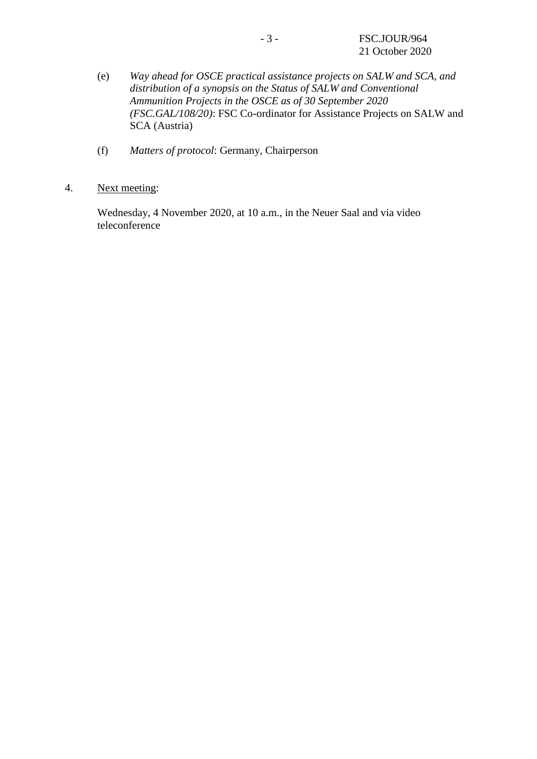- (e) *Way ahead for OSCE practical assistance projects on SALW and SCA, and distribution of a synopsis on the Status of SALW and Conventional Ammunition Projects in the OSCE as of 30 September 2020 (FSC.GAL/108/20)*: FSC Co-ordinator for Assistance Projects on SALW and SCA (Austria)
- (f) *Matters of protocol*: Germany, Chairperson
- 4. Next meeting:

Wednesday, 4 November 2020, at 10 a.m., in the Neuer Saal and via video teleconference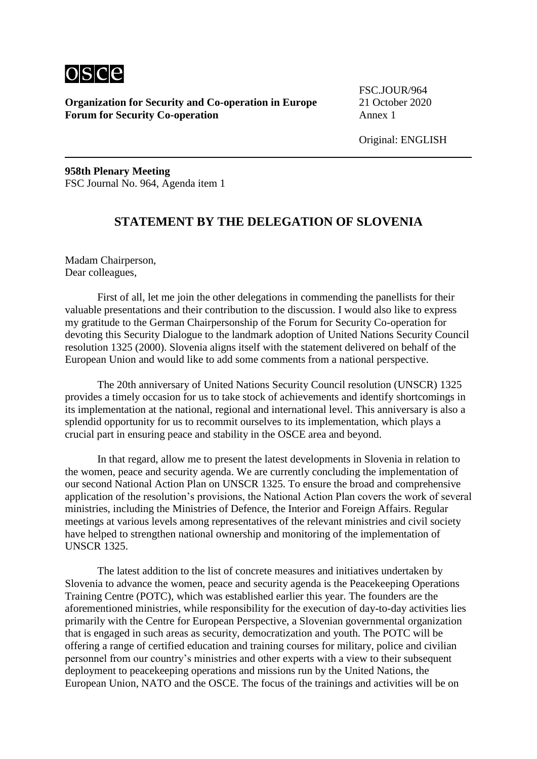

FSC.JOUR/964

Original: ENGLISH

**958th Plenary Meeting** FSC Journal No. 964, Agenda item 1

## **STATEMENT BY THE DELEGATION OF SLOVENIA**

Madam Chairperson, Dear colleagues,

First of all, let me join the other delegations in commending the panellists for their valuable presentations and their contribution to the discussion. I would also like to express my gratitude to the German Chairpersonship of the Forum for Security Co-operation for devoting this Security Dialogue to the landmark adoption of United Nations Security Council resolution 1325 (2000). Slovenia aligns itself with the statement delivered on behalf of the European Union and would like to add some comments from a national perspective.

The 20th anniversary of United Nations Security Council resolution (UNSCR) 1325 provides a timely occasion for us to take stock of achievements and identify shortcomings in its implementation at the national, regional and international level. This anniversary is also a splendid opportunity for us to recommit ourselves to its implementation, which plays a crucial part in ensuring peace and stability in the OSCE area and beyond.

In that regard, allow me to present the latest developments in Slovenia in relation to the women, peace and security agenda. We are currently concluding the implementation of our second National Action Plan on UNSCR 1325. To ensure the broad and comprehensive application of the resolution's provisions, the National Action Plan covers the work of several ministries, including the Ministries of Defence, the Interior and Foreign Affairs. Regular meetings at various levels among representatives of the relevant ministries and civil society have helped to strengthen national ownership and monitoring of the implementation of UNSCR 1325.

The latest addition to the list of concrete measures and initiatives undertaken by Slovenia to advance the women, peace and security agenda is the Peacekeeping Operations Training Centre (POTC), which was established earlier this year. The founders are the aforementioned ministries, while responsibility for the execution of day-to-day activities lies primarily with the Centre for European Perspective, a Slovenian governmental organization that is engaged in such areas as security, democratization and youth. The POTC will be offering a range of certified education and training courses for military, police and civilian personnel from our country's ministries and other experts with a view to their subsequent deployment to peacekeeping operations and missions run by the United Nations, the European Union, NATO and the OSCE. The focus of the trainings and activities will be on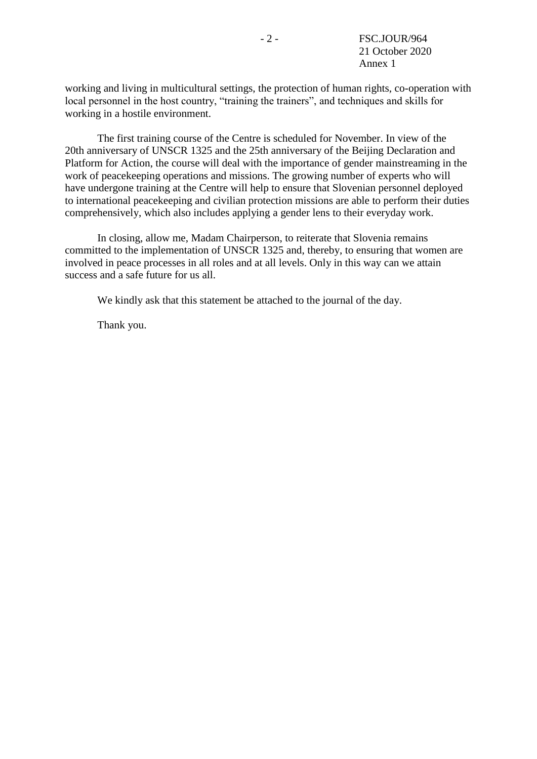working and living in multicultural settings, the protection of human rights, co-operation with local personnel in the host country, "training the trainers", and techniques and skills for working in a hostile environment.

The first training course of the Centre is scheduled for November. In view of the 20th anniversary of UNSCR 1325 and the 25th anniversary of the Beijing Declaration and Platform for Action, the course will deal with the importance of gender mainstreaming in the work of peacekeeping operations and missions. The growing number of experts who will have undergone training at the Centre will help to ensure that Slovenian personnel deployed to international peacekeeping and civilian protection missions are able to perform their duties comprehensively, which also includes applying a gender lens to their everyday work.

In closing, allow me, Madam Chairperson, to reiterate that Slovenia remains committed to the implementation of UNSCR 1325 and, thereby, to ensuring that women are involved in peace processes in all roles and at all levels. Only in this way can we attain success and a safe future for us all.

We kindly ask that this statement be attached to the journal of the day.

Thank you.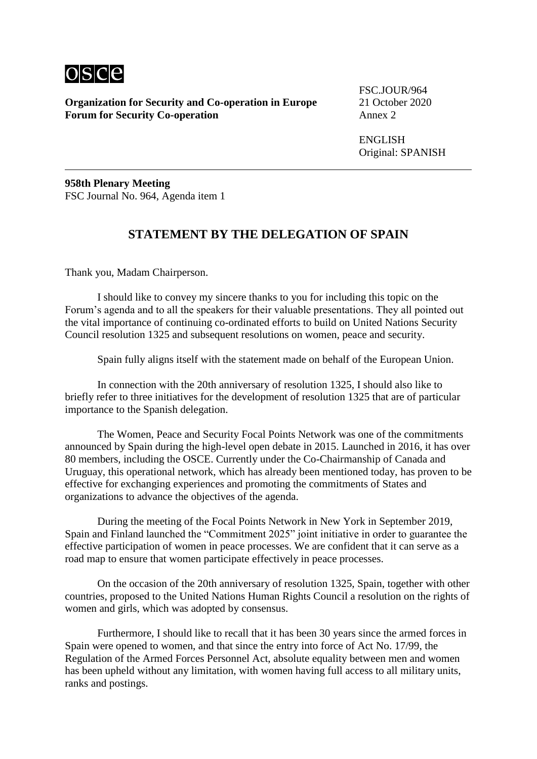

FSC.JOUR/964

ENGLISH Original: SPANISH

**958th Plenary Meeting** FSC Journal No. 964, Agenda item 1

## **STATEMENT BY THE DELEGATION OF SPAIN**

Thank you, Madam Chairperson.

I should like to convey my sincere thanks to you for including this topic on the Forum's agenda and to all the speakers for their valuable presentations. They all pointed out the vital importance of continuing co-ordinated efforts to build on United Nations Security Council resolution 1325 and subsequent resolutions on women, peace and security.

Spain fully aligns itself with the statement made on behalf of the European Union.

In connection with the 20th anniversary of resolution 1325, I should also like to briefly refer to three initiatives for the development of resolution 1325 that are of particular importance to the Spanish delegation.

The Women, Peace and Security Focal Points Network was one of the commitments announced by Spain during the high-level open debate in 2015. Launched in 2016, it has over 80 members, including the OSCE. Currently under the Co-Chairmanship of Canada and Uruguay, this operational network, which has already been mentioned today, has proven to be effective for exchanging experiences and promoting the commitments of States and organizations to advance the objectives of the agenda.

During the meeting of the Focal Points Network in New York in September 2019, Spain and Finland launched the "Commitment 2025" joint initiative in order to guarantee the effective participation of women in peace processes. We are confident that it can serve as a road map to ensure that women participate effectively in peace processes.

On the occasion of the 20th anniversary of resolution 1325, Spain, together with other countries, proposed to the United Nations Human Rights Council a resolution on the rights of women and girls, which was adopted by consensus.

Furthermore, I should like to recall that it has been 30 years since the armed forces in Spain were opened to women, and that since the entry into force of Act No. 17/99, the Regulation of the Armed Forces Personnel Act, absolute equality between men and women has been upheld without any limitation, with women having full access to all military units, ranks and postings.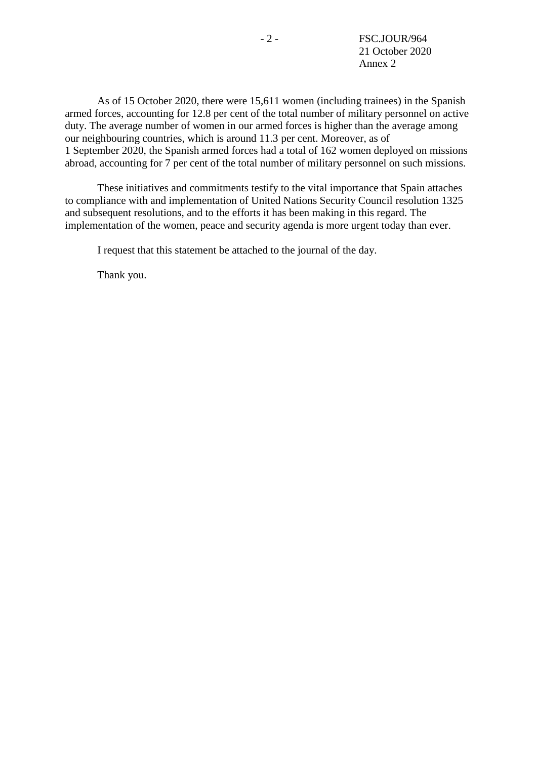As of 15 October 2020, there were 15,611 women (including trainees) in the Spanish armed forces, accounting for 12.8 per cent of the total number of military personnel on active duty. The average number of women in our armed forces is higher than the average among our neighbouring countries, which is around 11.3 per cent. Moreover, as of 1 September 2020, the Spanish armed forces had a total of 162 women deployed on missions abroad, accounting for 7 per cent of the total number of military personnel on such missions.

These initiatives and commitments testify to the vital importance that Spain attaches to compliance with and implementation of United Nations Security Council resolution 1325 and subsequent resolutions, and to the efforts it has been making in this regard. The implementation of the women, peace and security agenda is more urgent today than ever.

I request that this statement be attached to the journal of the day.

Thank you.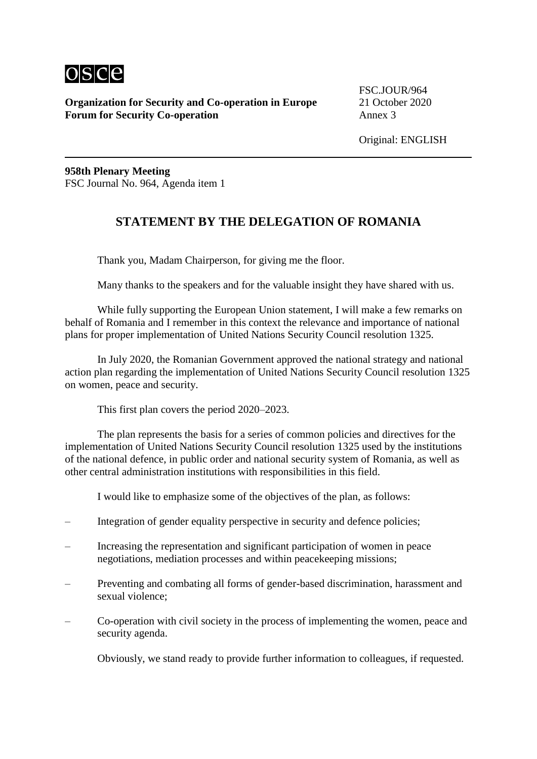

FSC.JOUR/964

**958th Plenary Meeting** FSC Journal No. 964, Agenda item 1

## **STATEMENT BY THE DELEGATION OF ROMANIA**

Thank you, Madam Chairperson, for giving me the floor.

Many thanks to the speakers and for the valuable insight they have shared with us.

While fully supporting the European Union statement, I will make a few remarks on behalf of Romania and I remember in this context the relevance and importance of national plans for proper implementation of United Nations Security Council resolution 1325.

In July 2020, the Romanian Government approved the national strategy and national action plan regarding the implementation of United Nations Security Council resolution 1325 on women, peace and security.

This first plan covers the period 2020–2023.

The plan represents the basis for a series of common policies and directives for the implementation of United Nations Security Council resolution 1325 used by the institutions of the national defence, in public order and national security system of Romania, as well as other central administration institutions with responsibilities in this field.

I would like to emphasize some of the objectives of the plan, as follows:

- Integration of gender equality perspective in security and defence policies;
- Increasing the representation and significant participation of women in peace negotiations, mediation processes and within peacekeeping missions;
- Preventing and combating all forms of gender-based discrimination, harassment and sexual violence;
- Co-operation with civil society in the process of implementing the women, peace and security agenda.

Obviously, we stand ready to provide further information to colleagues, if requested.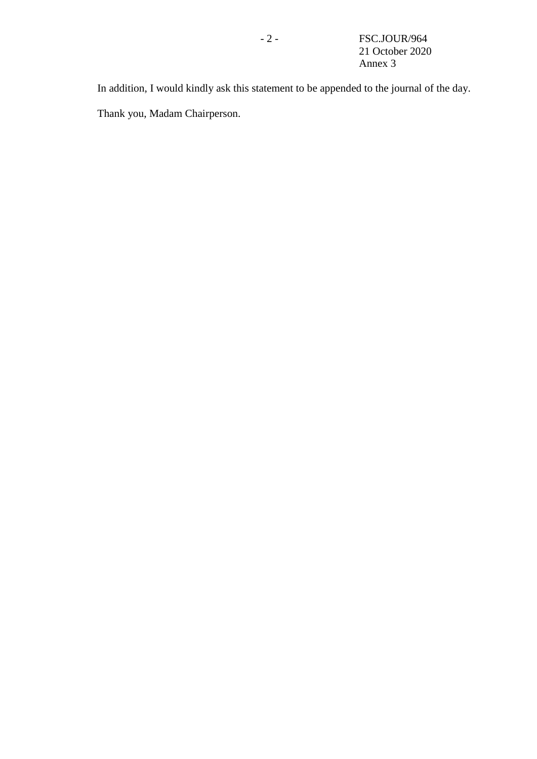In addition, I would kindly ask this statement to be appended to the journal of the day. Thank you, Madam Chairperson.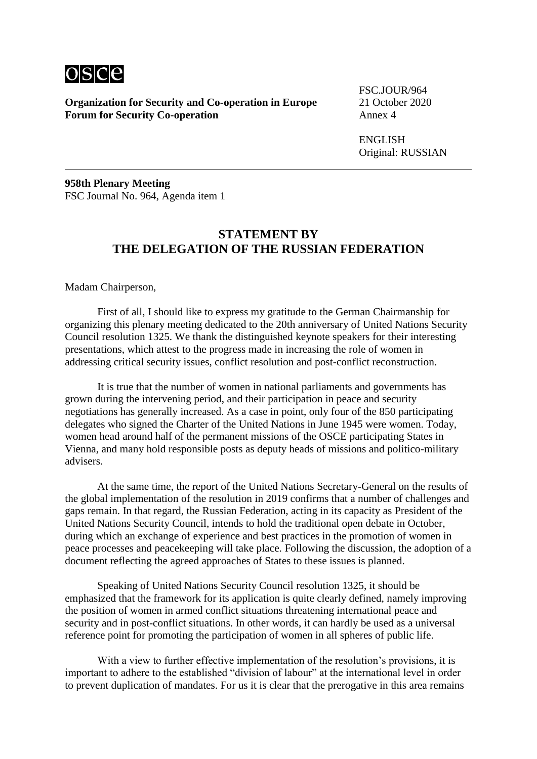

FSC.JOUR/964

ENGLISH Original: RUSSIAN

**958th Plenary Meeting** FSC Journal No. 964, Agenda item 1

## **STATEMENT BY THE DELEGATION OF THE RUSSIAN FEDERATION**

Madam Chairperson,

First of all, I should like to express my gratitude to the German Chairmanship for organizing this plenary meeting dedicated to the 20th anniversary of United Nations Security Council resolution 1325. We thank the distinguished keynote speakers for their interesting presentations, which attest to the progress made in increasing the role of women in addressing critical security issues, conflict resolution and post-conflict reconstruction.

It is true that the number of women in national parliaments and governments has grown during the intervening period, and their participation in peace and security negotiations has generally increased. As a case in point, only four of the 850 participating delegates who signed the Charter of the United Nations in June 1945 were women. Today, women head around half of the permanent missions of the OSCE participating States in Vienna, and many hold responsible posts as deputy heads of missions and politico-military advisers.

At the same time, the report of the United Nations Secretary-General on the results of the global implementation of the resolution in 2019 confirms that a number of challenges and gaps remain. In that regard, the Russian Federation, acting in its capacity as President of the United Nations Security Council, intends to hold the traditional open debate in October, during which an exchange of experience and best practices in the promotion of women in peace processes and peacekeeping will take place. Following the discussion, the adoption of a document reflecting the agreed approaches of States to these issues is planned.

Speaking of United Nations Security Council resolution 1325, it should be emphasized that the framework for its application is quite clearly defined, namely improving the position of women in armed conflict situations threatening international peace and security and in post-conflict situations. In other words, it can hardly be used as a universal reference point for promoting the participation of women in all spheres of public life.

With a view to further effective implementation of the resolution's provisions, it is important to adhere to the established "division of labour" at the international level in order to prevent duplication of mandates. For us it is clear that the prerogative in this area remains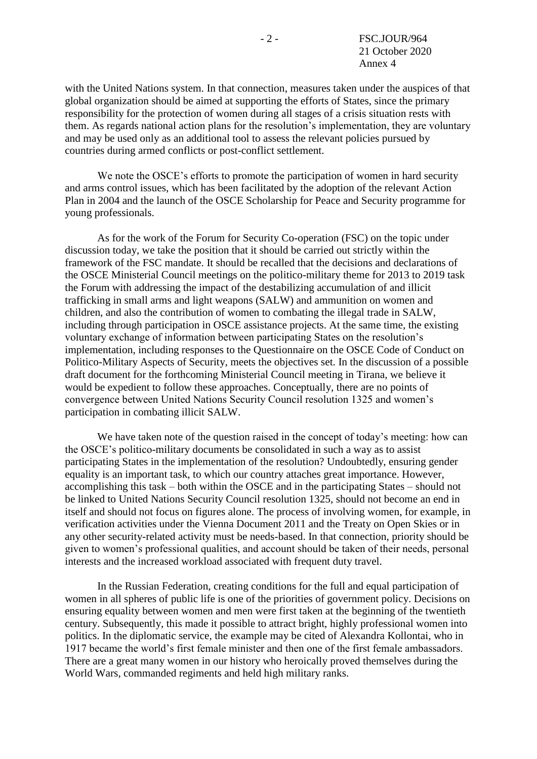with the United Nations system. In that connection, measures taken under the auspices of that global organization should be aimed at supporting the efforts of States, since the primary responsibility for the protection of women during all stages of a crisis situation rests with them. As regards national action plans for the resolution's implementation, they are voluntary and may be used only as an additional tool to assess the relevant policies pursued by countries during armed conflicts or post-conflict settlement.

We note the OSCE's efforts to promote the participation of women in hard security and arms control issues, which has been facilitated by the adoption of the relevant Action Plan in 2004 and the launch of the OSCE Scholarship for Peace and Security programme for young professionals.

As for the work of the Forum for Security Co-operation (FSC) on the topic under discussion today, we take the position that it should be carried out strictly within the framework of the FSC mandate. It should be recalled that the decisions and declarations of the OSCE Ministerial Council meetings on the politico-military theme for 2013 to 2019 task the Forum with addressing the impact of the destabilizing accumulation of and illicit trafficking in small arms and light weapons (SALW) and ammunition on women and children, and also the contribution of women to combating the illegal trade in SALW, including through participation in OSCE assistance projects. At the same time, the existing voluntary exchange of information between participating States on the resolution's implementation, including responses to the Questionnaire on the OSCE Code of Conduct on Politico-Military Aspects of Security, meets the objectives set. In the discussion of a possible draft document for the forthcoming Ministerial Council meeting in Tirana, we believe it would be expedient to follow these approaches. Conceptually, there are no points of convergence between United Nations Security Council resolution 1325 and women's participation in combating illicit SALW.

We have taken note of the question raised in the concept of today's meeting: how can the OSCE's politico-military documents be consolidated in such a way as to assist participating States in the implementation of the resolution? Undoubtedly, ensuring gender equality is an important task, to which our country attaches great importance. However, accomplishing this task – both within the OSCE and in the participating States – should not be linked to United Nations Security Council resolution 1325, should not become an end in itself and should not focus on figures alone. The process of involving women, for example, in verification activities under the Vienna Document 2011 and the Treaty on Open Skies or in any other security-related activity must be needs-based. In that connection, priority should be given to women's professional qualities, and account should be taken of their needs, personal interests and the increased workload associated with frequent duty travel.

In the Russian Federation, creating conditions for the full and equal participation of women in all spheres of public life is one of the priorities of government policy. Decisions on ensuring equality between women and men were first taken at the beginning of the twentieth century. Subsequently, this made it possible to attract bright, highly professional women into politics. In the diplomatic service, the example may be cited of Alexandra Kollontai, who in 1917 became the world's first female minister and then one of the first female ambassadors. There are a great many women in our history who heroically proved themselves during the World Wars, commanded regiments and held high military ranks.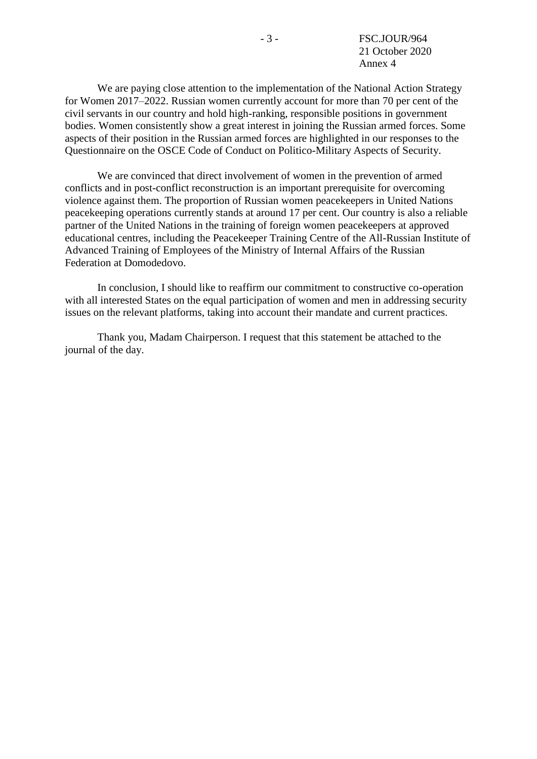We are paying close attention to the implementation of the National Action Strategy for Women 2017–2022. Russian women currently account for more than 70 per cent of the civil servants in our country and hold high-ranking, responsible positions in government bodies. Women consistently show a great interest in joining the Russian armed forces. Some aspects of their position in the Russian armed forces are highlighted in our responses to the Questionnaire on the OSCE Code of Conduct on Politico-Military Aspects of Security.

We are convinced that direct involvement of women in the prevention of armed conflicts and in post-conflict reconstruction is an important prerequisite for overcoming violence against them. The proportion of Russian women peacekeepers in United Nations peacekeeping operations currently stands at around 17 per cent. Our country is also a reliable partner of the United Nations in the training of foreign women peacekeepers at approved educational centres, including the Peacekeeper Training Centre of the All-Russian Institute of Advanced Training of Employees of the Ministry of Internal Affairs of the Russian Federation at Domodedovo.

In conclusion, I should like to reaffirm our commitment to constructive co-operation with all interested States on the equal participation of women and men in addressing security issues on the relevant platforms, taking into account their mandate and current practices.

Thank you, Madam Chairperson. I request that this statement be attached to the journal of the day.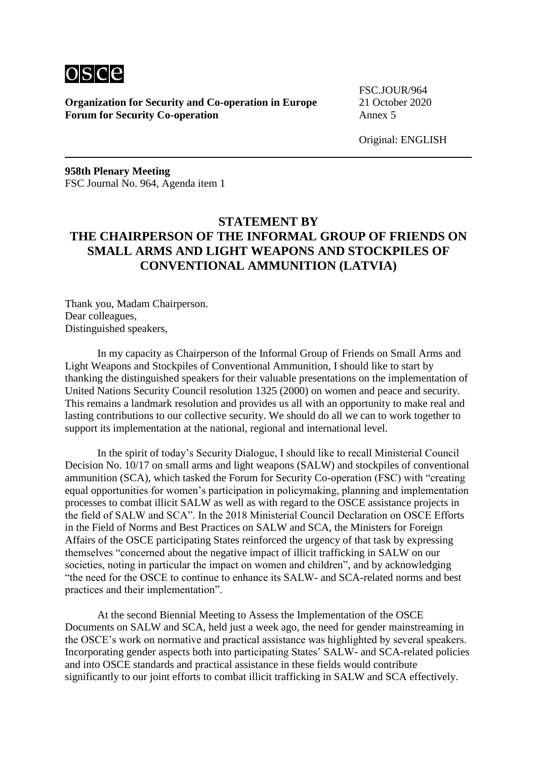

FSC.JOUR/964

Original: ENGLISH

**958th Plenary Meeting** FSC Journal No. 964, Agenda item 1

# **STATEMENT BY THE CHAIRPERSON OF THE INFORMAL GROUP OF FRIENDS ON SMALL ARMS AND LIGHT WEAPONS AND STOCKPILES OF CONVENTIONAL AMMUNITION (LATVIA)**

Thank you, Madam Chairperson. Dear colleagues, Distinguished speakers,

In my capacity as Chairperson of the Informal Group of Friends on Small Arms and Light Weapons and Stockpiles of Conventional Ammunition, I should like to start by thanking the distinguished speakers for their valuable presentations on the implementation of United Nations Security Council resolution 1325 (2000) on women and peace and security. This remains a landmark resolution and provides us all with an opportunity to make real and lasting contributions to our collective security. We should do all we can to work together to support its implementation at the national, regional and international level.

In the spirit of today's Security Dialogue, I should like to recall Ministerial Council Decision No. 10/17 on small arms and light weapons (SALW) and stockpiles of conventional ammunition (SCA), which tasked the Forum for Security Co-operation (FSC) with "creating equal opportunities for women's participation in policymaking, planning and implementation processes to combat illicit SALW as well as with regard to the OSCE assistance projects in the field of SALW and SCA". In the 2018 Ministerial Council Declaration on OSCE Efforts in the Field of Norms and Best Practices on SALW and SCA, the Ministers for Foreign Affairs of the OSCE participating States reinforced the urgency of that task by expressing themselves "concerned about the negative impact of illicit trafficking in SALW on our societies, noting in particular the impact on women and children", and by acknowledging "the need for the OSCE to continue to enhance its SALW- and SCA-related norms and best practices and their implementation".

At the second Biennial Meeting to Assess the Implementation of the OSCE Documents on SALW and SCA, held just a week ago, the need for gender mainstreaming in the OSCE's work on normative and practical assistance was highlighted by several speakers. Incorporating gender aspects both into participating States' SALW- and SCA-related policies and into OSCE standards and practical assistance in these fields would contribute significantly to our joint efforts to combat illicit trafficking in SALW and SCA effectively.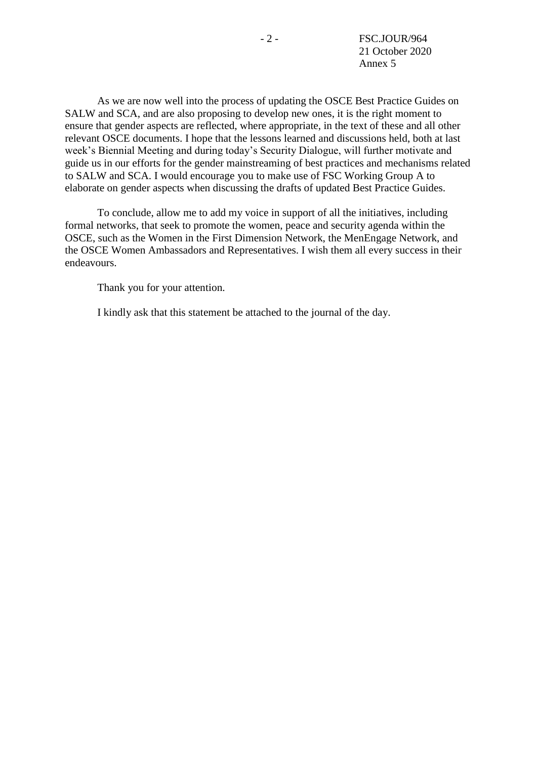As we are now well into the process of updating the OSCE Best Practice Guides on SALW and SCA, and are also proposing to develop new ones, it is the right moment to ensure that gender aspects are reflected, where appropriate, in the text of these and all other relevant OSCE documents. I hope that the lessons learned and discussions held, both at last week's Biennial Meeting and during today's Security Dialogue, will further motivate and guide us in our efforts for the gender mainstreaming of best practices and mechanisms related to SALW and SCA. I would encourage you to make use of FSC Working Group A to elaborate on gender aspects when discussing the drafts of updated Best Practice Guides.

To conclude, allow me to add my voice in support of all the initiatives, including formal networks, that seek to promote the women, peace and security agenda within the OSCE, such as the Women in the First Dimension Network, the MenEngage Network, and the OSCE Women Ambassadors and Representatives. I wish them all every success in their endeavours.

Thank you for your attention.

I kindly ask that this statement be attached to the journal of the day.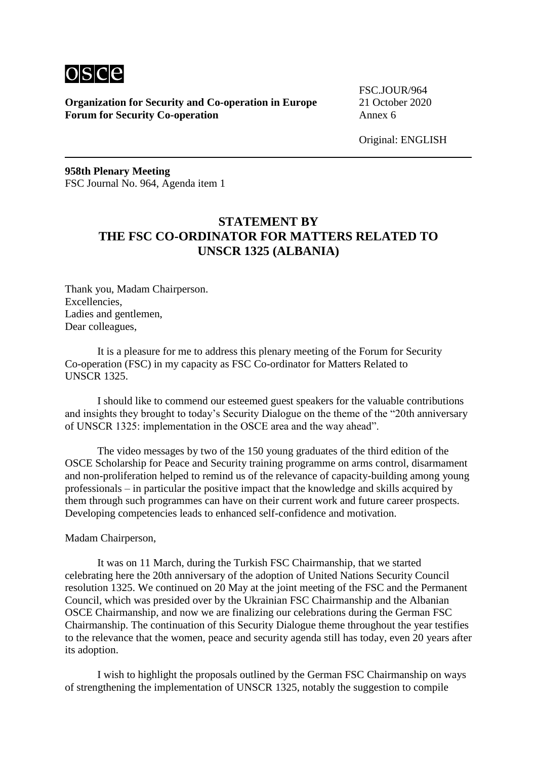

FSC.JOUR/964

Original: ENGLISH

**958th Plenary Meeting** FSC Journal No. 964, Agenda item 1

# **STATEMENT BY THE FSC CO-ORDINATOR FOR MATTERS RELATED TO UNSCR 1325 (ALBANIA)**

Thank you, Madam Chairperson. Excellencies, Ladies and gentlemen, Dear colleagues,

It is a pleasure for me to address this plenary meeting of the Forum for Security Co-operation (FSC) in my capacity as FSC Co-ordinator for Matters Related to UNSCR 1325.

I should like to commend our esteemed guest speakers for the valuable contributions and insights they brought to today's Security Dialogue on the theme of the "20th anniversary of UNSCR 1325: implementation in the OSCE area and the way ahead".

The video messages by two of the 150 young graduates of the third edition of the OSCE Scholarship for Peace and Security training programme on arms control, disarmament and non-proliferation helped to remind us of the relevance of capacity-building among young professionals – in particular the positive impact that the knowledge and skills acquired by them through such programmes can have on their current work and future career prospects. Developing competencies leads to enhanced self-confidence and motivation.

Madam Chairperson,

It was on 11 March, during the Turkish FSC Chairmanship, that we started celebrating here the 20th anniversary of the adoption of United Nations Security Council resolution 1325. We continued on 20 May at the joint meeting of the FSC and the Permanent Council, which was presided over by the Ukrainian FSC Chairmanship and the Albanian OSCE Chairmanship, and now we are finalizing our celebrations during the German FSC Chairmanship. The continuation of this Security Dialogue theme throughout the year testifies to the relevance that the women, peace and security agenda still has today, even 20 years after its adoption.

I wish to highlight the proposals outlined by the German FSC Chairmanship on ways of strengthening the implementation of UNSCR 1325, notably the suggestion to compile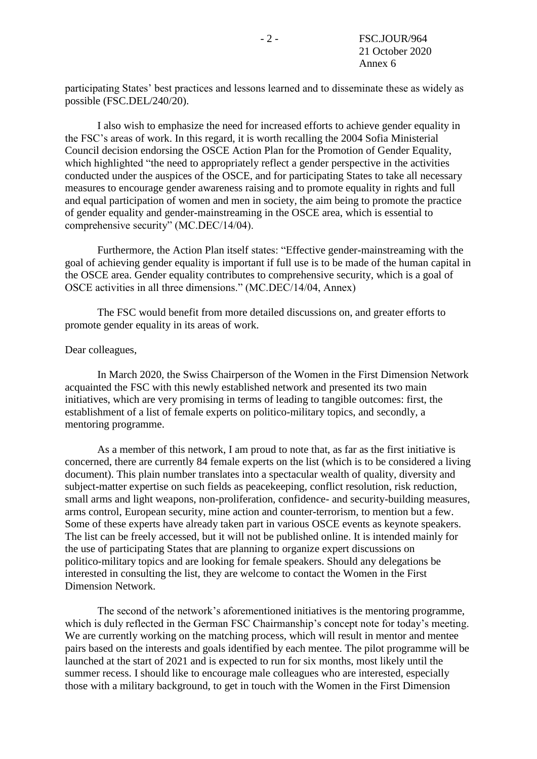participating States' best practices and lessons learned and to disseminate these as widely as possible (FSC.DEL/240/20).

I also wish to emphasize the need for increased efforts to achieve gender equality in the FSC's areas of work. In this regard, it is worth recalling the 2004 Sofia Ministerial Council decision endorsing the OSCE Action Plan for the Promotion of Gender Equality, which highlighted "the need to appropriately reflect a gender perspective in the activities conducted under the auspices of the OSCE, and for participating States to take all necessary measures to encourage gender awareness raising and to promote equality in rights and full and equal participation of women and men in society, the aim being to promote the practice of gender equality and gender-mainstreaming in the OSCE area, which is essential to comprehensive security" (MC.DEC/14/04).

Furthermore, the Action Plan itself states: "Effective gender-mainstreaming with the goal of achieving gender equality is important if full use is to be made of the human capital in the OSCE area. Gender equality contributes to comprehensive security, which is a goal of OSCE activities in all three dimensions." (MC.DEC/14/04, Annex)

The FSC would benefit from more detailed discussions on, and greater efforts to promote gender equality in its areas of work.

#### Dear colleagues,

In March 2020, the Swiss Chairperson of the Women in the First Dimension Network acquainted the FSC with this newly established network and presented its two main initiatives, which are very promising in terms of leading to tangible outcomes: first, the establishment of a list of female experts on politico-military topics, and secondly, a mentoring programme.

As a member of this network, I am proud to note that, as far as the first initiative is concerned, there are currently 84 female experts on the list (which is to be considered a living document). This plain number translates into a spectacular wealth of quality, diversity and subject-matter expertise on such fields as peacekeeping, conflict resolution, risk reduction, small arms and light weapons, non-proliferation, confidence- and security-building measures, arms control, European security, mine action and counter-terrorism, to mention but a few. Some of these experts have already taken part in various OSCE events as keynote speakers. The list can be freely accessed, but it will not be published online. It is intended mainly for the use of participating States that are planning to organize expert discussions on politico-military topics and are looking for female speakers. Should any delegations be interested in consulting the list, they are welcome to contact the Women in the First Dimension Network.

The second of the network's aforementioned initiatives is the mentoring programme, which is duly reflected in the German FSC Chairmanship's concept note for today's meeting. We are currently working on the matching process, which will result in mentor and mentee pairs based on the interests and goals identified by each mentee. The pilot programme will be launched at the start of 2021 and is expected to run for six months, most likely until the summer recess. I should like to encourage male colleagues who are interested, especially those with a military background, to get in touch with the Women in the First Dimension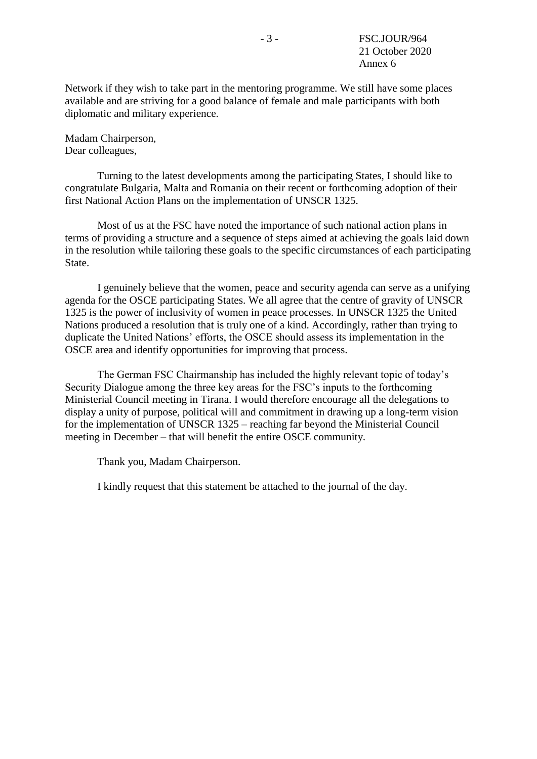Network if they wish to take part in the mentoring programme. We still have some places available and are striving for a good balance of female and male participants with both diplomatic and military experience.

Madam Chairperson, Dear colleagues,

Turning to the latest developments among the participating States, I should like to congratulate Bulgaria, Malta and Romania on their recent or forthcoming adoption of their first National Action Plans on the implementation of UNSCR 1325.

Most of us at the FSC have noted the importance of such national action plans in terms of providing a structure and a sequence of steps aimed at achieving the goals laid down in the resolution while tailoring these goals to the specific circumstances of each participating State.

I genuinely believe that the women, peace and security agenda can serve as a unifying agenda for the OSCE participating States. We all agree that the centre of gravity of UNSCR 1325 is the power of inclusivity of women in peace processes. In UNSCR 1325 the United Nations produced a resolution that is truly one of a kind. Accordingly, rather than trying to duplicate the United Nations' efforts, the OSCE should assess its implementation in the OSCE area and identify opportunities for improving that process.

The German FSC Chairmanship has included the highly relevant topic of today's Security Dialogue among the three key areas for the FSC's inputs to the forthcoming Ministerial Council meeting in Tirana. I would therefore encourage all the delegations to display a unity of purpose, political will and commitment in drawing up a long-term vision for the implementation of UNSCR 1325 – reaching far beyond the Ministerial Council meeting in December – that will benefit the entire OSCE community.

Thank you, Madam Chairperson.

I kindly request that this statement be attached to the journal of the day.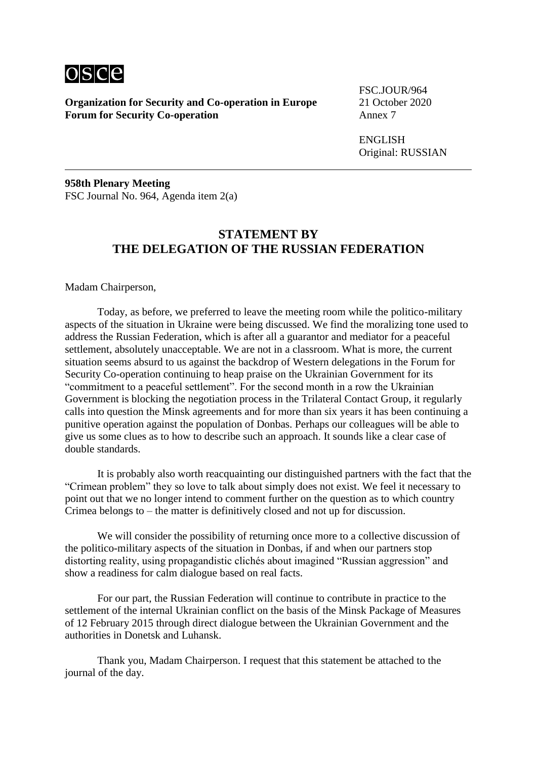

FSC.JOUR/964

ENGLISH Original: RUSSIAN

**958th Plenary Meeting** FSC Journal No. 964, Agenda item 2(a)

#### **STATEMENT BY THE DELEGATION OF THE RUSSIAN FEDERATION**

Madam Chairperson,

Today, as before, we preferred to leave the meeting room while the politico-military aspects of the situation in Ukraine were being discussed. We find the moralizing tone used to address the Russian Federation, which is after all a guarantor and mediator for a peaceful settlement, absolutely unacceptable. We are not in a classroom. What is more, the current situation seems absurd to us against the backdrop of Western delegations in the Forum for Security Co-operation continuing to heap praise on the Ukrainian Government for its "commitment to a peaceful settlement". For the second month in a row the Ukrainian Government is blocking the negotiation process in the Trilateral Contact Group, it regularly calls into question the Minsk agreements and for more than six years it has been continuing a punitive operation against the population of Donbas. Perhaps our colleagues will be able to give us some clues as to how to describe such an approach. It sounds like a clear case of double standards.

It is probably also worth reacquainting our distinguished partners with the fact that the "Crimean problem" they so love to talk about simply does not exist. We feel it necessary to point out that we no longer intend to comment further on the question as to which country Crimea belongs to – the matter is definitively closed and not up for discussion.

We will consider the possibility of returning once more to a collective discussion of the politico-military aspects of the situation in Donbas, if and when our partners stop distorting reality, using propagandistic clichés about imagined "Russian aggression" and show a readiness for calm dialogue based on real facts.

For our part, the Russian Federation will continue to contribute in practice to the settlement of the internal Ukrainian conflict on the basis of the Minsk Package of Measures of 12 February 2015 through direct dialogue between the Ukrainian Government and the authorities in Donetsk and Luhansk.

Thank you, Madam Chairperson. I request that this statement be attached to the journal of the day.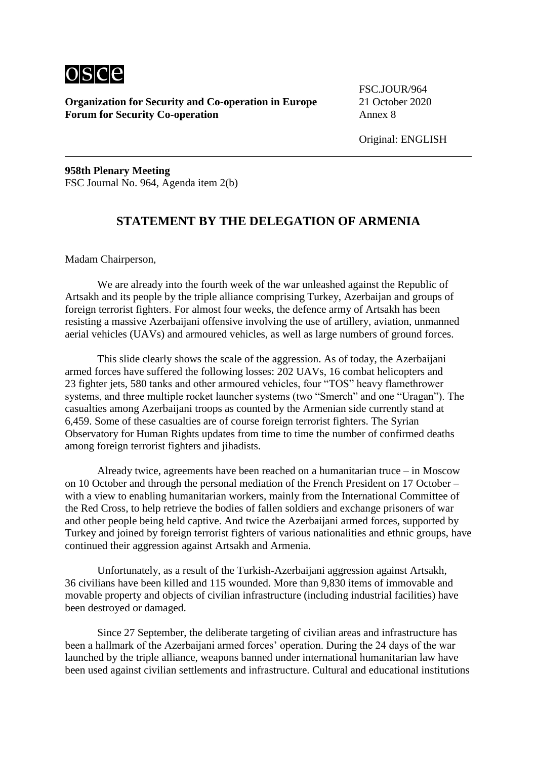

FSC.JOUR/964

**958th Plenary Meeting** FSC Journal No. 964, Agenda item 2(b)

## **STATEMENT BY THE DELEGATION OF ARMENIA**

Madam Chairperson,

We are already into the fourth week of the war unleashed against the Republic of Artsakh and its people by the triple alliance comprising Turkey, Azerbaijan and groups of foreign terrorist fighters. For almost four weeks, the defence army of Artsakh has been resisting a massive Azerbaijani offensive involving the use of artillery, aviation, unmanned aerial vehicles (UAVs) and armoured vehicles, as well as large numbers of ground forces.

This slide clearly shows the scale of the aggression. As of today, the Azerbaijani armed forces have suffered the following losses: 202 UAVs, 16 combat helicopters and 23 fighter jets, 580 tanks and other armoured vehicles, four "TOS" heavy flamethrower systems, and three multiple rocket launcher systems (two "Smerch" and one "Uragan"). The casualties among Azerbaijani troops as counted by the Armenian side currently stand at 6,459. Some of these casualties are of course foreign terrorist fighters. The Syrian Observatory for Human Rights updates from time to time the number of confirmed deaths among foreign terrorist fighters and jihadists.

Already twice, agreements have been reached on a humanitarian truce – in Moscow on 10 October and through the personal mediation of the French President on 17 October – with a view to enabling humanitarian workers, mainly from the International Committee of the Red Cross, to help retrieve the bodies of fallen soldiers and exchange prisoners of war and other people being held captive. And twice the Azerbaijani armed forces, supported by Turkey and joined by foreign terrorist fighters of various nationalities and ethnic groups, have continued their aggression against Artsakh and Armenia.

Unfortunately, as a result of the Turkish-Azerbaijani aggression against Artsakh, 36 civilians have been killed and 115 wounded. More than 9,830 items of immovable and movable property and objects of civilian infrastructure (including industrial facilities) have been destroyed or damaged.

Since 27 September, the deliberate targeting of civilian areas and infrastructure has been a hallmark of the Azerbaijani armed forces' operation. During the 24 days of the war launched by the triple alliance, weapons banned under international humanitarian law have been used against civilian settlements and infrastructure. Cultural and educational institutions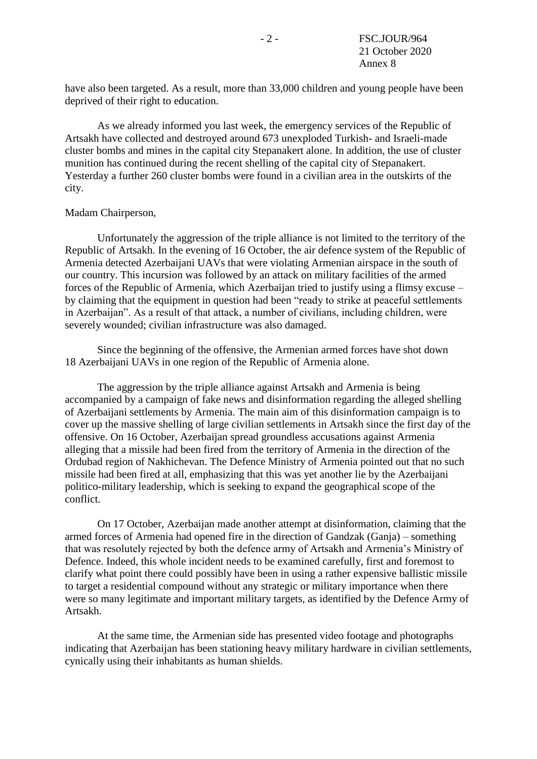have also been targeted. As a result, more than 33,000 children and young people have been deprived of their right to education.

As we already informed you last week, the emergency services of the Republic of Artsakh have collected and destroyed around 673 unexploded Turkish- and Israeli-made cluster bombs and mines in the capital city Stepanakert alone. In addition, the use of cluster munition has continued during the recent shelling of the capital city of Stepanakert. Yesterday a further 260 cluster bombs were found in a civilian area in the outskirts of the city.

#### Madam Chairperson,

Unfortunately the aggression of the triple alliance is not limited to the territory of the Republic of Artsakh. In the evening of 16 October, the air defence system of the Republic of Armenia detected Azerbaijani UAVs that were violating Armenian airspace in the south of our country. This incursion was followed by an attack on military facilities of the armed forces of the Republic of Armenia, which Azerbaijan tried to justify using a flimsy excuse – by claiming that the equipment in question had been "ready to strike at peaceful settlements in Azerbaijan". As a result of that attack, a number of civilians, including children, were severely wounded; civilian infrastructure was also damaged.

Since the beginning of the offensive, the Armenian armed forces have shot down 18 Azerbaijani UAVs in one region of the Republic of Armenia alone.

The aggression by the triple alliance against Artsakh and Armenia is being accompanied by a campaign of fake news and disinformation regarding the alleged shelling of Azerbaijani settlements by Armenia. The main aim of this disinformation campaign is to cover up the massive shelling of large civilian settlements in Artsakh since the first day of the offensive. On 16 October, Azerbaijan spread groundless accusations against Armenia alleging that a missile had been fired from the territory of Armenia in the direction of the Ordubad region of Nakhichevan. The Defence Ministry of Armenia pointed out that no such missile had been fired at all, emphasizing that this was yet another lie by the Azerbaijani politico-military leadership, which is seeking to expand the geographical scope of the conflict.

On 17 October, Azerbaijan made another attempt at disinformation, claiming that the armed forces of Armenia had opened fire in the direction of Gandzak (Ganja) – something that was resolutely rejected by both the defence army of Artsakh and Armenia's Ministry of Defence. Indeed, this whole incident needs to be examined carefully, first and foremost to clarify what point there could possibly have been in using a rather expensive ballistic missile to target a residential compound without any strategic or military importance when there were so many legitimate and important military targets, as identified by the Defence Army of Artsakh.

At the same time, the Armenian side has presented video footage and photographs indicating that Azerbaijan has been stationing heavy military hardware in civilian settlements, cynically using their inhabitants as human shields.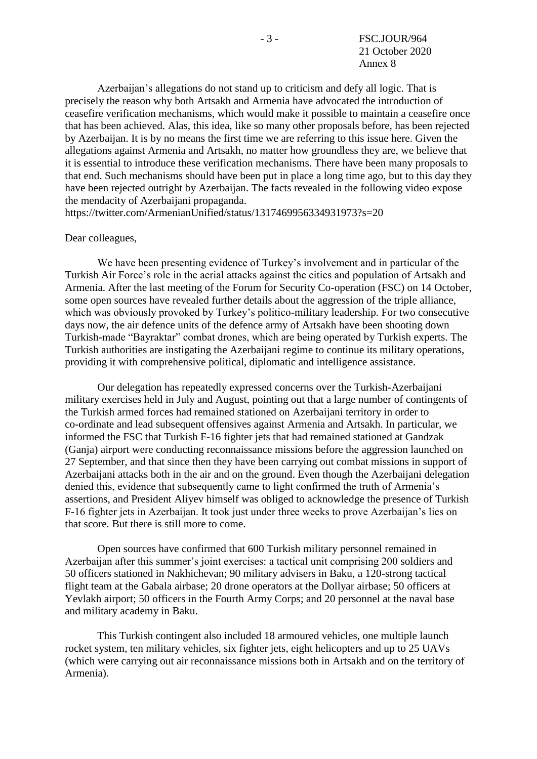Azerbaijan's allegations do not stand up to criticism and defy all logic. That is precisely the reason why both Artsakh and Armenia have advocated the introduction of ceasefire verification mechanisms, which would make it possible to maintain a ceasefire once that has been achieved. Alas, this idea, like so many other proposals before, has been rejected by Azerbaijan. It is by no means the first time we are referring to this issue here. Given the allegations against Armenia and Artsakh, no matter how groundless they are, we believe that it is essential to introduce these verification mechanisms. There have been many proposals to that end. Such mechanisms should have been put in place a long time ago, but to this day they have been rejected outright by Azerbaijan. The facts revealed in the following video expose the mendacity of Azerbaijani propaganda.

https://twitter.com/ArmenianUnified/status/1317469956334931973?s=20

#### Dear colleagues,

We have been presenting evidence of Turkey's involvement and in particular of the Turkish Air Force's role in the aerial attacks against the cities and population of Artsakh and Armenia. After the last meeting of the Forum for Security Co-operation (FSC) on 14 October, some open sources have revealed further details about the aggression of the triple alliance, which was obviously provoked by Turkey's politico-military leadership. For two consecutive days now, the air defence units of the defence army of Artsakh have been shooting down Turkish-made "Bayraktar" combat drones, which are being operated by Turkish experts. The Turkish authorities are instigating the Azerbaijani regime to continue its military operations, providing it with comprehensive political, diplomatic and intelligence assistance.

Our delegation has repeatedly expressed concerns over the Turkish-Azerbaijani military exercises held in July and August, pointing out that a large number of contingents of the Turkish armed forces had remained stationed on Azerbaijani territory in order to co-ordinate and lead subsequent offensives against Armenia and Artsakh. In particular, we informed the FSC that Turkish F-16 fighter jets that had remained stationed at Gandzak (Ganja) airport were conducting reconnaissance missions before the aggression launched on 27 September, and that since then they have been carrying out combat missions in support of Azerbaijani attacks both in the air and on the ground. Even though the Azerbaijani delegation denied this, evidence that subsequently came to light confirmed the truth of Armenia's assertions, and President Aliyev himself was obliged to acknowledge the presence of Turkish F-16 fighter jets in Azerbaijan. It took just under three weeks to prove Azerbaijan's lies on that score. But there is still more to come.

Open sources have confirmed that 600 Turkish military personnel remained in Azerbaijan after this summer's joint exercises: a tactical unit comprising 200 soldiers and 50 officers stationed in Nakhichevan; 90 military advisers in Baku, a 120-strong tactical flight team at the Gabala airbase; 20 drone operators at the Dollyar airbase; 50 officers at Yevlakh airport; 50 officers in the Fourth Army Corps; and 20 personnel at the naval base and military academy in Baku.

This Turkish contingent also included 18 armoured vehicles, one multiple launch rocket system, ten military vehicles, six fighter jets, eight helicopters and up to 25 UAVs (which were carrying out air reconnaissance missions both in Artsakh and on the territory of Armenia).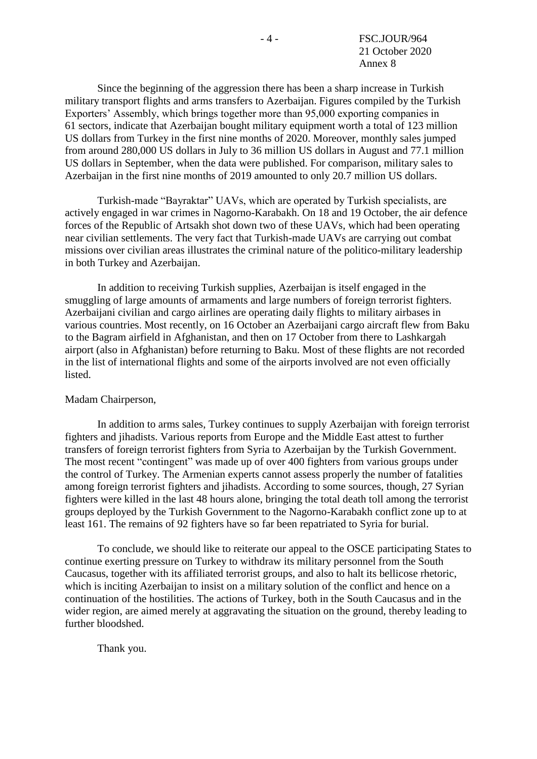Since the beginning of the aggression there has been a sharp increase in Turkish military transport flights and arms transfers to Azerbaijan. Figures compiled by the Turkish Exporters' Assembly, which brings together more than 95,000 exporting companies in 61 sectors, indicate that Azerbaijan bought military equipment worth a total of 123 million US dollars from Turkey in the first nine months of 2020. Moreover, monthly sales jumped from around 280,000 US dollars in July to 36 million US dollars in August and 77.1 million US dollars in September, when the data were published. For comparison, military sales to Azerbaijan in the first nine months of 2019 amounted to only 20.7 million US dollars.

Turkish-made "Bayraktar" UAVs, which are operated by Turkish specialists, are actively engaged in war crimes in Nagorno-Karabakh. On 18 and 19 October, the air defence forces of the Republic of Artsakh shot down two of these UAVs, which had been operating near civilian settlements. The very fact that Turkish-made UAVs are carrying out combat missions over civilian areas illustrates the criminal nature of the politico-military leadership in both Turkey and Azerbaijan.

In addition to receiving Turkish supplies, Azerbaijan is itself engaged in the smuggling of large amounts of armaments and large numbers of foreign terrorist fighters. Azerbaijani civilian and cargo airlines are operating daily flights to military airbases in various countries. Most recently, on 16 October an Azerbaijani cargo aircraft flew from Baku to the Bagram airfield in Afghanistan, and then on 17 October from there to Lashkargah airport (also in Afghanistan) before returning to Baku. Most of these flights are not recorded in the list of international flights and some of the airports involved are not even officially listed.

#### Madam Chairperson,

In addition to arms sales, Turkey continues to supply Azerbaijan with foreign terrorist fighters and jihadists. Various reports from Europe and the Middle East attest to further transfers of foreign terrorist fighters from Syria to Azerbaijan by the Turkish Government. The most recent "contingent" was made up of over 400 fighters from various groups under the control of Turkey. The Armenian experts cannot assess properly the number of fatalities among foreign terrorist fighters and jihadists. According to some sources, though, 27 Syrian fighters were killed in the last 48 hours alone, bringing the total death toll among the terrorist groups deployed by the Turkish Government to the Nagorno-Karabakh conflict zone up to at least 161. The remains of 92 fighters have so far been repatriated to Syria for burial.

To conclude, we should like to reiterate our appeal to the OSCE participating States to continue exerting pressure on Turkey to withdraw its military personnel from the South Caucasus, together with its affiliated terrorist groups, and also to halt its bellicose rhetoric, which is inciting Azerbaijan to insist on a military solution of the conflict and hence on a continuation of the hostilities. The actions of Turkey, both in the South Caucasus and in the wider region, are aimed merely at aggravating the situation on the ground, thereby leading to further bloodshed.

Thank you.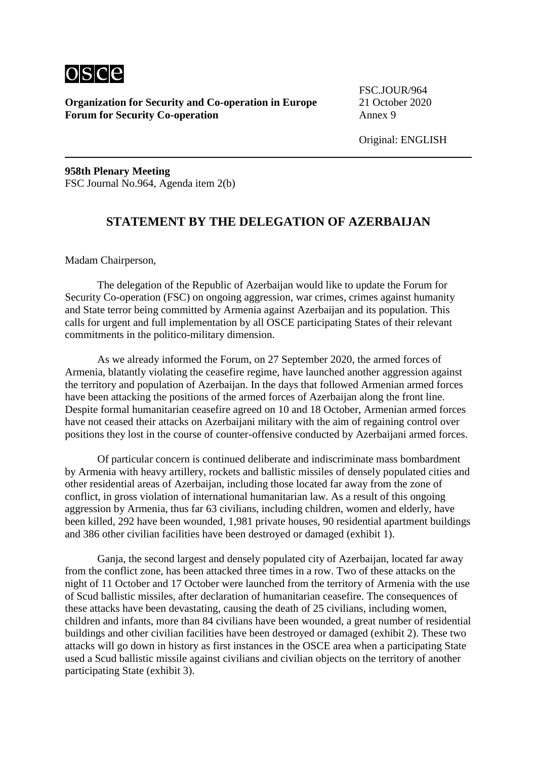

FSC.JOUR/964

**958th Plenary Meeting** FSC Journal No.964, Agenda item 2(b)

#### **STATEMENT BY THE DELEGATION OF AZERBAIJAN**

Madam Chairperson,

The delegation of the Republic of Azerbaijan would like to update the Forum for Security Co-operation (FSC) on ongoing aggression, war crimes, crimes against humanity and State terror being committed by Armenia against Azerbaijan and its population. This calls for urgent and full implementation by all OSCE participating States of their relevant commitments in the politico-military dimension.

As we already informed the Forum, on 27 September 2020, the armed forces of Armenia, blatantly violating the ceasefire regime, have launched another aggression against the territory and population of Azerbaijan. In the days that followed Armenian armed forces have been attacking the positions of the armed forces of Azerbaijan along the front line. Despite formal humanitarian ceasefire agreed on 10 and 18 October, Armenian armed forces have not ceased their attacks on Azerbaijani military with the aim of regaining control over positions they lost in the course of counter-offensive conducted by Azerbaijani armed forces.

Of particular concern is continued deliberate and indiscriminate mass bombardment by Armenia with heavy artillery, rockets and ballistic missiles of densely populated cities and other residential areas of Azerbaijan, including those located far away from the zone of conflict, in gross violation of international humanitarian law. As a result of this ongoing aggression by Armenia, thus far 63 civilians, including children, women and elderly, have been killed, 292 have been wounded, 1,981 private houses, 90 residential apartment buildings and 386 other civilian facilities have been destroyed or damaged (exhibit 1).

Ganja, the second largest and densely populated city of Azerbaijan, located far away from the conflict zone, has been attacked three times in a row. Two of these attacks on the night of 11 October and 17 October were launched from the territory of Armenia with the use of Scud ballistic missiles, after declaration of humanitarian ceasefire. The consequences of these attacks have been devastating, causing the death of 25 civilians, including women, children and infants, more than 84 civilians have been wounded, a great number of residential buildings and other civilian facilities have been destroyed or damaged (exhibit 2). These two attacks will go down in history as first instances in the OSCE area when a participating State used a Scud ballistic missile against civilians and civilian objects on the territory of another participating State (exhibit 3).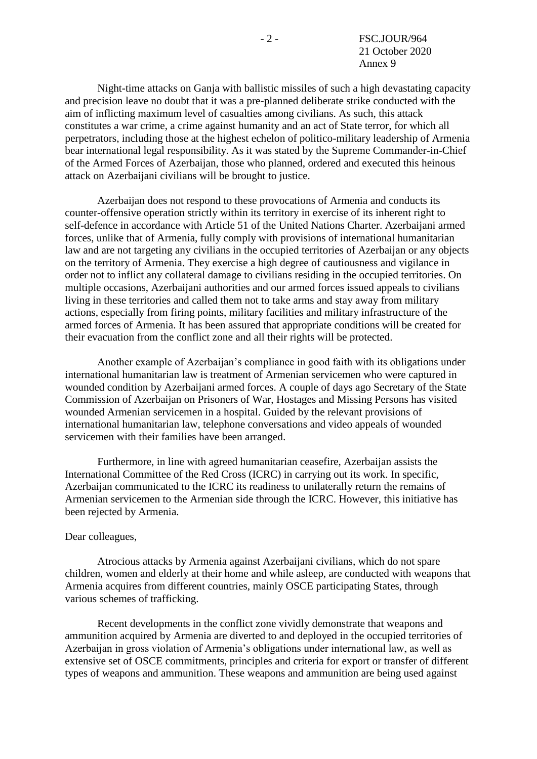Night-time attacks on Ganja with ballistic missiles of such a high devastating capacity and precision leave no doubt that it was a pre-planned deliberate strike conducted with the aim of inflicting maximum level of casualties among civilians. As such, this attack constitutes a war crime, a crime against humanity and an act of State terror, for which all perpetrators, including those at the highest echelon of politico-military leadership of Armenia bear international legal responsibility. As it was stated by the Supreme Commander-in-Chief of the Armed Forces of Azerbaijan, those who planned, ordered and executed this heinous attack on Azerbaijani civilians will be brought to justice.

Azerbaijan does not respond to these provocations of Armenia and conducts its counter-offensive operation strictly within its territory in exercise of its inherent right to self-defence in accordance with Article 51 of the United Nations Charter. Azerbaijani armed forces, unlike that of Armenia, fully comply with provisions of international humanitarian law and are not targeting any civilians in the occupied territories of Azerbaijan or any objects on the territory of Armenia. They exercise a high degree of cautiousness and vigilance in order not to inflict any collateral damage to civilians residing in the occupied territories. On multiple occasions, Azerbaijani authorities and our armed forces issued appeals to civilians living in these territories and called them not to take arms and stay away from military actions, especially from firing points, military facilities and military infrastructure of the armed forces of Armenia. It has been assured that appropriate conditions will be created for their evacuation from the conflict zone and all their rights will be protected.

Another example of Azerbaijan's compliance in good faith with its obligations under international humanitarian law is treatment of Armenian servicemen who were captured in wounded condition by Azerbaijani armed forces. A couple of days ago Secretary of the State Commission of Azerbaijan on Prisoners of War, Hostages and Missing Persons has visited wounded Armenian servicemen in a hospital. Guided by the relevant provisions of international humanitarian law, telephone conversations and video appeals of wounded servicemen with their families have been arranged.

Furthermore, in line with agreed humanitarian ceasefire, Azerbaijan assists the International Committee of the Red Cross (ICRC) in carrying out its work. In specific, Azerbaijan communicated to the ICRC its readiness to unilaterally return the remains of Armenian servicemen to the Armenian side through the ICRC. However, this initiative has been rejected by Armenia.

#### Dear colleagues,

Atrocious attacks by Armenia against Azerbaijani civilians, which do not spare children, women and elderly at their home and while asleep, are conducted with weapons that Armenia acquires from different countries, mainly OSCE participating States, through various schemes of trafficking.

Recent developments in the conflict zone vividly demonstrate that weapons and ammunition acquired by Armenia are diverted to and deployed in the occupied territories of Azerbaijan in gross violation of Armenia's obligations under international law, as well as extensive set of OSCE commitments, principles and criteria for export or transfer of different types of weapons and ammunition. These weapons and ammunition are being used against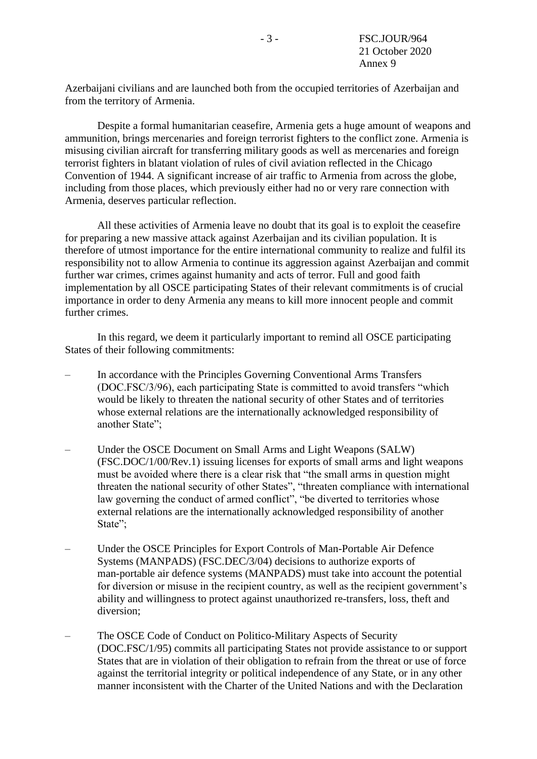Azerbaijani civilians and are launched both from the occupied territories of Azerbaijan and from the territory of Armenia.

Despite a formal humanitarian ceasefire, Armenia gets a huge amount of weapons and ammunition, brings mercenaries and foreign terrorist fighters to the conflict zone. Armenia is misusing civilian aircraft for transferring military goods as well as mercenaries and foreign terrorist fighters in blatant violation of rules of civil aviation reflected in the Chicago Convention of 1944. A significant increase of air traffic to Armenia from across the globe, including from those places, which previously either had no or very rare connection with Armenia, deserves particular reflection.

All these activities of Armenia leave no doubt that its goal is to exploit the ceasefire for preparing a new massive attack against Azerbaijan and its civilian population. It is therefore of utmost importance for the entire international community to realize and fulfil its responsibility not to allow Armenia to continue its aggression against Azerbaijan and commit further war crimes, crimes against humanity and acts of terror. Full and good faith implementation by all OSCE participating States of their relevant commitments is of crucial importance in order to deny Armenia any means to kill more innocent people and commit further crimes.

In this regard, we deem it particularly important to remind all OSCE participating States of their following commitments:

- In accordance with the Principles Governing Conventional Arms Transfers (DOC.FSC/3/96), each participating State is committed to avoid transfers "which would be likely to threaten the national security of other States and of territories whose external relations are the internationally acknowledged responsibility of another State";
- Under the OSCE Document on Small Arms and Light Weapons (SALW) (FSC.DOC/1/00/Rev.1) issuing licenses for exports of small arms and light weapons must be avoided where there is a clear risk that "the small arms in question might threaten the national security of other States", "threaten compliance with international law governing the conduct of armed conflict", "be diverted to territories whose external relations are the internationally acknowledged responsibility of another State";
- Under the OSCE Principles for Export Controls of Man-Portable Air Defence Systems (MANPADS) (FSC.DEC/3/04) decisions to authorize exports of man-portable air defence systems (MANPADS) must take into account the potential for diversion or misuse in the recipient country, as well as the recipient government's ability and willingness to protect against unauthorized re-transfers, loss, theft and diversion;
- The OSCE Code of Conduct on Politico-Military Aspects of Security (DOC.FSC/1/95) commits all participating States not provide assistance to or support States that are in violation of their obligation to refrain from the threat or use of force against the territorial integrity or political independence of any State, or in any other manner inconsistent with the Charter of the United Nations and with the Declaration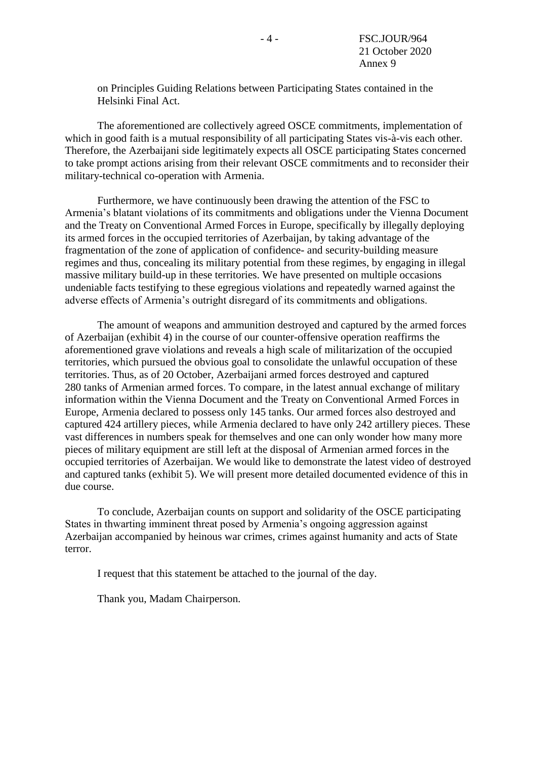on Principles Guiding Relations between Participating States contained in the Helsinki Final Act.

The aforementioned are collectively agreed OSCE commitments, implementation of which in good faith is a mutual responsibility of all participating States vis-à-vis each other. Therefore, the Azerbaijani side legitimately expects all OSCE participating States concerned to take prompt actions arising from their relevant OSCE commitments and to reconsider their military-technical co-operation with Armenia.

Furthermore, we have continuously been drawing the attention of the FSC to Armenia's blatant violations of its commitments and obligations under the Vienna Document and the Treaty on Conventional Armed Forces in Europe, specifically by illegally deploying its armed forces in the occupied territories of Azerbaijan, by taking advantage of the fragmentation of the zone of application of confidence- and security-building measure regimes and thus, concealing its military potential from these regimes, by engaging in illegal massive military build-up in these territories. We have presented on multiple occasions undeniable facts testifying to these egregious violations and repeatedly warned against the adverse effects of Armenia's outright disregard of its commitments and obligations.

The amount of weapons and ammunition destroyed and captured by the armed forces of Azerbaijan (exhibit 4) in the course of our counter-offensive operation reaffirms the aforementioned grave violations and reveals a high scale of militarization of the occupied territories, which pursued the obvious goal to consolidate the unlawful occupation of these territories. Thus, as of 20 October, Azerbaijani armed forces destroyed and captured 280 tanks of Armenian armed forces. To compare, in the latest annual exchange of military information within the Vienna Document and the Treaty on Conventional Armed Forces in Europe, Armenia declared to possess only 145 tanks. Our armed forces also destroyed and captured 424 artillery pieces, while Armenia declared to have only 242 artillery pieces. These vast differences in numbers speak for themselves and one can only wonder how many more pieces of military equipment are still left at the disposal of Armenian armed forces in the occupied territories of Azerbaijan. We would like to demonstrate the latest video of destroyed and captured tanks (exhibit 5). We will present more detailed documented evidence of this in due course.

To conclude, Azerbaijan counts on support and solidarity of the OSCE participating States in thwarting imminent threat posed by Armenia's ongoing aggression against Azerbaijan accompanied by heinous war crimes, crimes against humanity and acts of State terror.

I request that this statement be attached to the journal of the day.

Thank you, Madam Chairperson.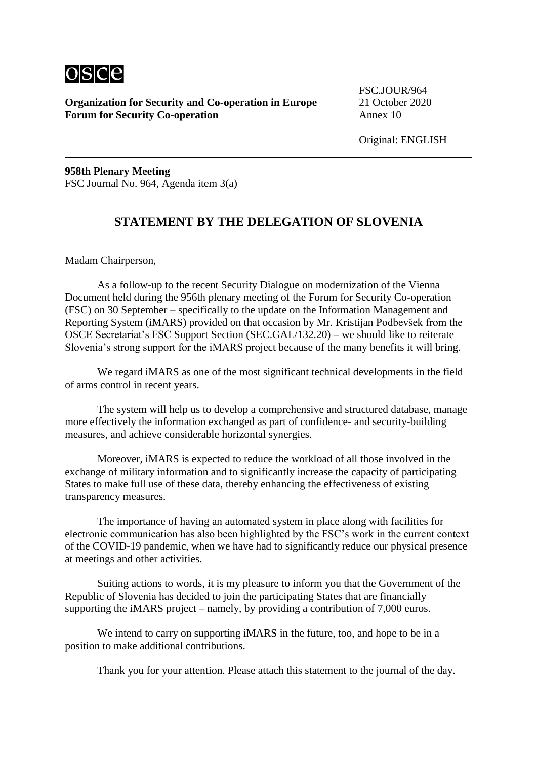

FSC.JOUR/964

Original: ENGLISH

**958th Plenary Meeting** FSC Journal No. 964, Agenda item 3(a)

## **STATEMENT BY THE DELEGATION OF SLOVENIA**

Madam Chairperson,

As a follow-up to the recent Security Dialogue on modernization of the Vienna Document held during the 956th plenary meeting of the Forum for Security Co-operation (FSC) on 30 September – specifically to the update on the Information Management and Reporting System (iMARS) provided on that occasion by Mr. Kristijan Podbevšek from the OSCE Secretariat's FSC Support Section (SEC.GAL/132.20) – we should like to reiterate Slovenia's strong support for the iMARS project because of the many benefits it will bring.

We regard iMARS as one of the most significant technical developments in the field of arms control in recent years.

The system will help us to develop a comprehensive and structured database, manage more effectively the information exchanged as part of confidence- and security-building measures, and achieve considerable horizontal synergies.

Moreover, iMARS is expected to reduce the workload of all those involved in the exchange of military information and to significantly increase the capacity of participating States to make full use of these data, thereby enhancing the effectiveness of existing transparency measures.

The importance of having an automated system in place along with facilities for electronic communication has also been highlighted by the FSC's work in the current context of the COVID-19 pandemic, when we have had to significantly reduce our physical presence at meetings and other activities.

Suiting actions to words, it is my pleasure to inform you that the Government of the Republic of Slovenia has decided to join the participating States that are financially supporting the iMARS project – namely, by providing a contribution of 7,000 euros.

We intend to carry on supporting iMARS in the future, too, and hope to be in a position to make additional contributions.

Thank you for your attention. Please attach this statement to the journal of the day.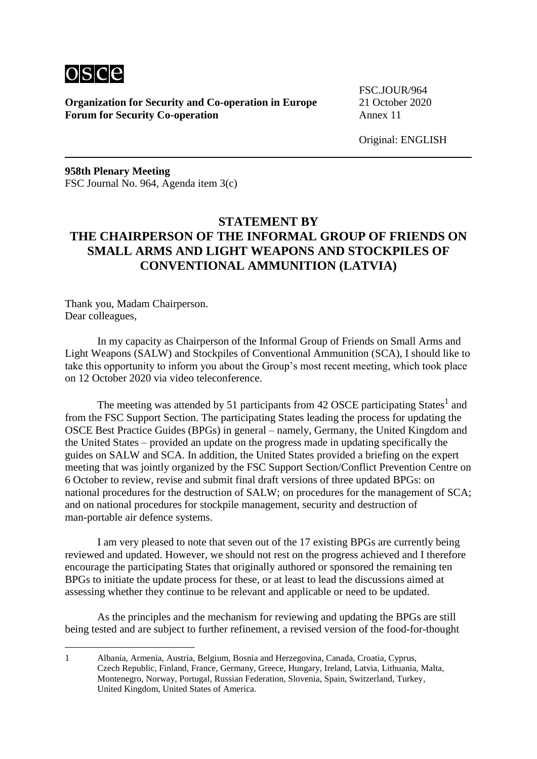

FSC.JOUR/964

Original: ENGLISH

**958th Plenary Meeting** FSC Journal No. 964, Agenda item 3(c)

# **STATEMENT BY THE CHAIRPERSON OF THE INFORMAL GROUP OF FRIENDS ON SMALL ARMS AND LIGHT WEAPONS AND STOCKPILES OF CONVENTIONAL AMMUNITION (LATVIA)**

Thank you, Madam Chairperson. Dear colleagues,

<u>.</u>

In my capacity as Chairperson of the Informal Group of Friends on Small Arms and Light Weapons (SALW) and Stockpiles of Conventional Ammunition (SCA), I should like to take this opportunity to inform you about the Group's most recent meeting, which took place on 12 October 2020 via video teleconference.

The meeting was attended by 51 participants from 42 OSCE participating States<sup>1</sup> and from the FSC Support Section. The participating States leading the process for updating the OSCE Best Practice Guides (BPGs) in general – namely, Germany, the United Kingdom and the United States – provided an update on the progress made in updating specifically the guides on SALW and SCA. In addition, the United States provided a briefing on the expert meeting that was jointly organized by the FSC Support Section/Conflict Prevention Centre on 6 October to review, revise and submit final draft versions of three updated BPGs: on national procedures for the destruction of SALW; on procedures for the management of SCA; and on national procedures for stockpile management, security and destruction of man-portable air defence systems.

I am very pleased to note that seven out of the 17 existing BPGs are currently being reviewed and updated. However, we should not rest on the progress achieved and I therefore encourage the participating States that originally authored or sponsored the remaining ten BPGs to initiate the update process for these, or at least to lead the discussions aimed at assessing whether they continue to be relevant and applicable or need to be updated.

As the principles and the mechanism for reviewing and updating the BPGs are still being tested and are subject to further refinement, a revised version of the food-for-thought

<sup>1</sup> Albania, Armenia, Austria, Belgium, Bosnia and Herzegovina, Canada, Croatia, Cyprus, Czech Republic, Finland, France, Germany, Greece, Hungary, Ireland, Latvia, Lithuania, Malta, Montenegro, Norway, Portugal, Russian Federation, Slovenia, Spain, Switzerland, Turkey, United Kingdom, United States of America.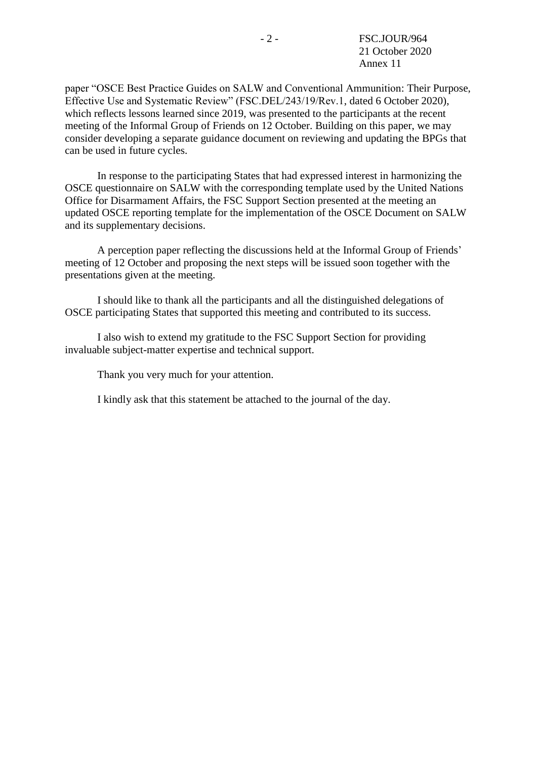paper "OSCE Best Practice Guides on SALW and Conventional Ammunition: Their Purpose, Effective Use and Systematic Review" (FSC.DEL/243/19/Rev.1, dated 6 October 2020), which reflects lessons learned since 2019, was presented to the participants at the recent meeting of the Informal Group of Friends on 12 October. Building on this paper, we may consider developing a separate guidance document on reviewing and updating the BPGs that can be used in future cycles.

In response to the participating States that had expressed interest in harmonizing the OSCE questionnaire on SALW with the corresponding template used by the United Nations Office for Disarmament Affairs, the FSC Support Section presented at the meeting an updated OSCE reporting template for the implementation of the OSCE Document on SALW and its supplementary decisions.

A perception paper reflecting the discussions held at the Informal Group of Friends' meeting of 12 October and proposing the next steps will be issued soon together with the presentations given at the meeting.

I should like to thank all the participants and all the distinguished delegations of OSCE participating States that supported this meeting and contributed to its success.

I also wish to extend my gratitude to the FSC Support Section for providing invaluable subject-matter expertise and technical support.

Thank you very much for your attention.

I kindly ask that this statement be attached to the journal of the day.